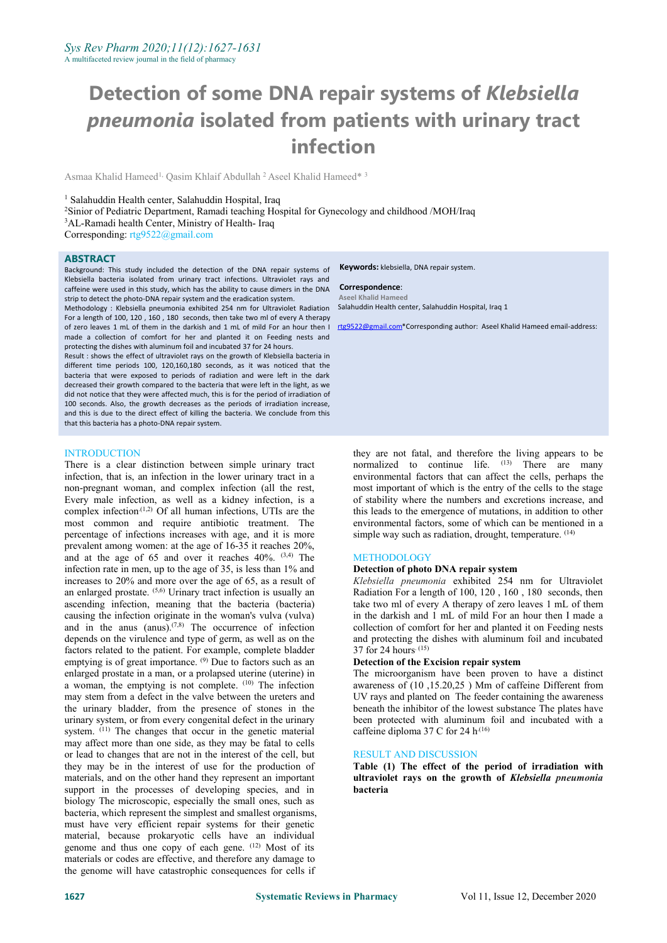# **Detection of some DNA repair systems of** *Klebsiella pneumonia* **isolated from patients with urinary tract infection**

Asmaa Khalid Hameed<sup>1,</sup> Qasim Khlaif Abdullah <sup>2</sup> Aseel Khalid Hameed\* <sup>3</sup> 3

#### <sup>1</sup> Salahuddin Health center, Salahuddin Hospital, Iraq

<sup>2</sup>Sinior of Pediatric Department, Ramadi teaching Hospital for Gynecology and childhood /MOH/Iraq

Corresponding: [rtg9522@gmail.com](mailto:rtg9522@gmail.com)

#### **ABSTRACT**

Background: This study included the detection of the DNA repair systems of Klebsiella bacteria isolated from urinary tract infections. Ultraviolet rays and caffeine were used in this study, which has the ability to cause dimers in the DNA strip to detect the photo-DNA repair system and the eradication system.

Methodology : Klebsiella pneumonia exhibited 254 nm for Ultraviolet Radiation For a length of 100, 120, 160, 180 seconds, then take two ml of every A therapy of zero leaves 1 mL of them in the darkish and 1 mL of mild For an hour then I made a collection of comfort for her and planted it on Feeding nests and protecting the dishes with aluminum foil and incubated 37 for 24 hours.

Result : shows the effect of ultraviolet rays on the growth of Klebsiella bacteria in different time periods 100, 120,160,180 seconds, as it was noticed that the bacteria that were exposed to periods of radiation and were left in the dark decreased their growth compared to the bacteria that were left in the light, as we did not notice that they were affected much, this is for the period of irradiation of 100 seconds. Also, the growth decreases as the periods of irradiation increase, and this is due to the direct effect of killing the bacteria. We conclude from this that this bacteria has a photo-DNA repair system.

# **Keywords:** klebsiella, DNA repair system.

#### **Correspondence**: **Aseel Khalid Hameed**

Salahuddin Health center, Salahuddin Hospital, Iraq 1

[r](mailto:rtg9522@gmail.com)tg9522@gmail.com\*Corresponding author: Aseel Khalid Hameed email-address:

#### **INTRODUCTION**

There is a clear distinction between simple urinary tract infection, that is, an infection in the lower urinary tract in a non-pregnant woman, and complex infection (all the rest, Every male infection, as well as a kidney infection, is a complex infection<sup>(1,2)</sup> Of all human infections, UTIs are the this leads to most common and require antibiotic treatment. The percentage of infections increases with age, and it is more prevalent among women: at the age of 16-35 it reaches 20%, and at the age of 65 and over it reaches 40%. <sup>(3,4)</sup> The infection rate in men, up to the age of 35, is less than 1% and increases to 20% and more over the age of 65, as a result of an enlarged prostate. (5,6) Urinary tract infection is usually an Radiation For ascending infection, meaning that the bacteria (bacteria) causing the infection originate in the woman's vulva (vulva) and in the anus (anus).<sup> $(7,8)$ </sup> The occurrence of infection collection of  $\alpha$ depends on the virulence and type of germ, as well as on the factors related to the patient. For example, complete bladder emptying is of great importance. (9) Due to factors such as an **Detection of t** enlarged prostate in a man, or a prolapsed uterine (uterine) in a woman, the emptying is not complete.  $(10)$  The infection awareness of may stem from a defect in the valve between the ureters and the urinary bladder, from the presence of stones in the urinary system, or from every congenital defect in the urinary system. (11) The changes that occur in the genetic material cafi may affect more than one side, as they may be fatal to cells or lead to changes that are not in the interest of the cell, but they may be in the interest of use for the production of materials, and on the other hand they represent an important support in the processes of developing species, and in biology The microscopic, especially the small ones, such as bacteria, which represent the simplest and smallest organisms, must have very efficient repair systems for their genetic material, because prokaryotic cells have an individual genome and thus one copy of each gene. (12) Most of its materials or codes are effective, and therefore any damage to the genome will have catastrophic consequences for cells if

they are not fatal, and therefore the living appears to be normalized to continue life. <sup>(13)</sup> There are many environmental factors that can affect the cells, perhaps the most important of which is the entry of the cells to the stage of stability where the numbers and excretions increase, and this leads to the emergence of mutations, in addition to other environmental factors, some of which can be mentioned in a simple way such as radiation, drought, temperature. <sup>(14)</sup>

#### (3,4) The METHODOLOGY

# **Detection of photo DNA repair system**

*Klebsiella pneumonia* exhibited 254 nm for Ultraviolet Radiation For a length of 100, 120 , 160 , 180 seconds, then take two ml of every A therapy of zero leaves 1 mL of them in the darkish and 1 mL of mild For an hour then I made a collection of comfort for her and planted it on Feeding nests and protecting the dishes with aluminum foil and incubated 37 for 24 hours<sup> $(15)$ </sup>

#### **Detection of the Excision repair system**

The microorganism have been proven to have a distinct awareness of (10 ,15.20,25 ) Mm of caffeine Different from UV rays and planted on The feeder containing the awareness beneath the inhibitor of the lowest substance The plates have been protected with aluminum foil and incubated with a caffeine diploma 37 C for 24  $h^{(16)}$ 

#### RESULT AND DISCUSSION

**Table (1) The effect of the period of irradiation with ultraviolet rays on the growth of** *Klebsiella pneumonia* **bacteria**

<sup>&</sup>lt;sup>3</sup>AL-Ramadi health Center, Ministry of Health- Iraq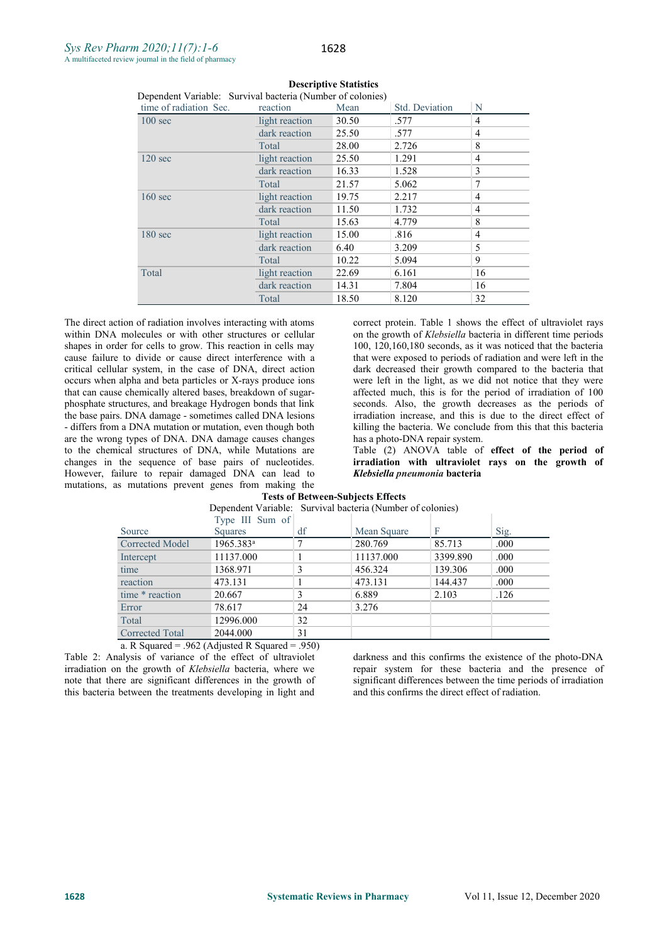| time of radiation Sec. | reaction       | Mean  | Std. Deviation | N              |
|------------------------|----------------|-------|----------------|----------------|
| $100 \text{ sec}$      | light reaction | 30.50 | .577           | 4              |
|                        | dark reaction  | 25.50 | .577           | 4              |
|                        | Total          | 28.00 | 2.726          | 8              |
| $120 \text{ sec}$      | light reaction | 25.50 | 1.291          | 4              |
|                        | dark reaction  | 16.33 | 1.528          | 3              |
|                        | Total          | 21.57 | 5.062          | 7              |
| $160 \text{ sec}$      | light reaction | 19.75 | 2.217          | 4              |
|                        | dark reaction  | 11.50 | 1.732          | 4              |
|                        | Total          | 15.63 | 4.779          | 8              |
| $180 \text{ sec}$      | light reaction | 15.00 | .816           | $\overline{4}$ |
|                        | dark reaction  | 6.40  | 3.209          | 5              |
|                        | Total          | 10.22 | 5.094          | 9              |
| Total                  | light reaction | 22.69 | 6.161          | 16             |
|                        | dark reaction  | 14.31 | 7.804          | 16             |
|                        | Total          | 18.50 | 8.120          | 32             |

#### **Descriptive Statistics**

Dependent Variable: Survival bacteria (Number of colonies)

The direct action of radiation involves interacting with atoms within DNA molecules or with other structures or cellular shapes in order for cells to grow. This reaction in cells may cause failure to divide or cause direct interference with a critical cellular system, in the case of DNA, direct action occurs when alpha and beta particles or X-rays produce ions that can cause chemically altered bases, breakdown of sugar phosphate structures, and breakage Hydrogen bonds that link the base pairs. DNA damage - sometimes called DNA lesions - differs from a DNA mutation or mutation, even though both are the wrong types of DNA. DNA damage causes changes to the chemical structures of DNA, while Mutations are changes in the sequence of base pairs of nucleotides. However, failure to repair damaged DNA can lead to mutations, as mutations prevent genes from making the

correct protein. Table 1 shows the effect of ultraviolet rays on the growth of *Klebsiella* bacteria in different time periods 100, 120,160,180 seconds, as it was noticed that the bacteria that were exposed to periods of radiation and were left in the dark decreased their growth compared to the bacteria that were left in the light, as we did not notice that they were affected much, this is for the period of irradiation of 100 seconds. Also, the growth decreases as the periods of irradiation increase, and this is due to the direct effect of killing the bacteria.We conclude from this that this bacteria has a photo-DNA repair system.

Table (2) ANOVA table of **effectof the period of irradiation with ultraviolet rays on thegrowth of** *Klebsiella pneumonia* **bacteria**

# **Tests** of Between-Subjects Effects Dependent Variable: Survival bacteria (Number of colonies)

|                                | Type III Sum of  |                         |             |          |      |
|--------------------------------|------------------|-------------------------|-------------|----------|------|
| Source                         | Squares          | df                      | Mean Square | F        | Sig. |
| <b>Corrected Model</b>         | $1965.383^a$     |                         | 280.769     | 85.713   | .000 |
| Intercept                      | 11137.000        |                         | 11137.000   | 3399.890 | .000 |
| time                           | 1368.971         |                         | 456.324     | 139.306  | .000 |
| reaction                       | 473.131          |                         | 473.131     | 144.437  | .000 |
| time * reaction                | 20.667           |                         | 6.889       | 2.103    | .126 |
| Error                          | 78.617           | 24                      | 3.276       |          |      |
| Total                          | 12996.000        | 32                      |             |          |      |
| <b>Corrected Total</b>         | 2044.000         | 31                      |             |          |      |
| $\mathbf{R} \cap \mathbf{C}$ 1 | $0(0.41)$ $1.70$ | $\bigcap_{n\in\{1,2\}}$ |             |          |      |

a. R Squared = .962 (Adjusted R Squared = .950) Table 2: Analysis of variance of the effect of ultraviolet irradiation on the growth of *Klebsiella* bacteria, where we note that there are significant differences in the growth of this bacteria between the treatments developing in light and

darkness and this confirms the existence of the photo-DNA repair system for these bacteria and the presence of significant differences between the time periods of irradiation and this confirms the direct effect of radiation.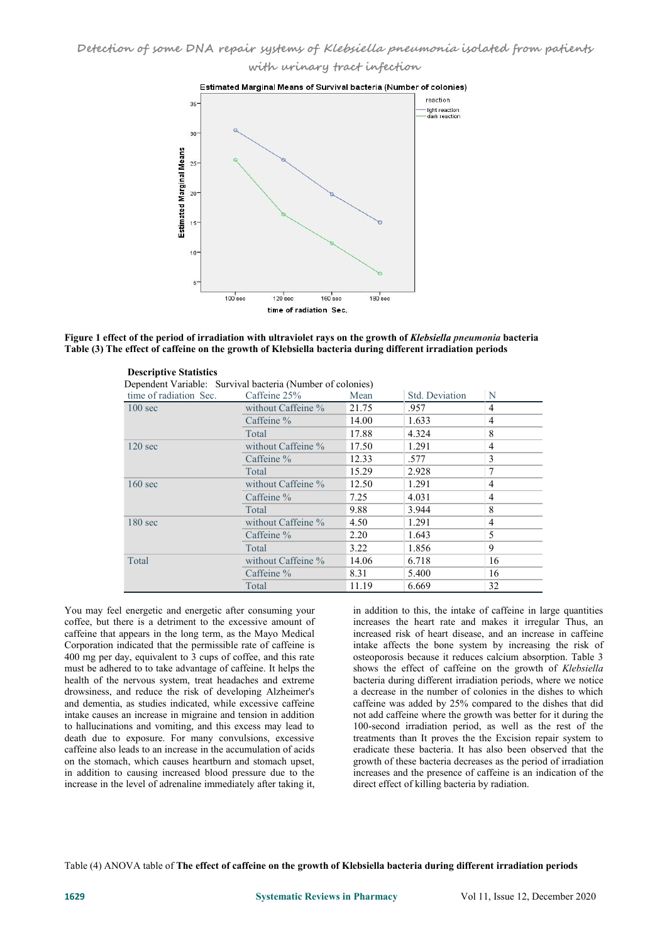**with urinary tract infection**



# Figure 1 effect of the period of irradiation with ultraviolet rays on the growth of Klebsiella pneumonia bacteria **Table (3) The effect of caffeine on the growth of Klebsiella bacteria during different irradiation periods**

| <b>Descriptive Statistics</b><br>Dependent Variable: Survival bacteria (Number of colonies) |                    |       |                |                |
|---------------------------------------------------------------------------------------------|--------------------|-------|----------------|----------------|
| time of radiation Sec.                                                                      | Caffeine 25%       | Mean  | Std. Deviation | N              |
| $100 \text{ sec}$                                                                           | without Caffeine % | 21.75 | .957           | 4              |
|                                                                                             | Caffeine %         | 14.00 | 1.633          | $\overline{4}$ |
|                                                                                             | Total              | 17.88 | 4.324          | 8              |
| $120 \text{ sec}$                                                                           | without Caffeine % | 17.50 | 1.291          | $\overline{4}$ |
|                                                                                             | Caffeine %         | 12.33 | .577           | 3              |
|                                                                                             | Total              | 15.29 | 2.928          | 7              |
| $160 \text{ sec}$                                                                           | without Caffeine % | 12.50 | 1.291          | 4              |
|                                                                                             | Caffeine $%$       | 7.25  | 4.031          | $\overline{4}$ |
|                                                                                             | Total              | 9.88  | 3.944          | 8              |
| $180 \text{ sec}$                                                                           | without Caffeine % | 4.50  | 1.291          | $\overline{4}$ |
|                                                                                             | Caffeine %         | 2.20  | 1.643          | 5              |
|                                                                                             | Total              | 3.22  | 1.856          | 9              |
| Total                                                                                       | without Caffeine % | 14.06 | 6.718          | 16             |
|                                                                                             | Caffeine %         | 8.31  | 5.400          | 16             |
|                                                                                             | Total              | 11.19 | 6.669          | 32             |

You may feel energetic and energetic after consuming your coffee, but there is a detriment to the excessive amount of caffeine that appears in the long term, as the Mayo Medical  $400$  mg per day, equivalent to 3 cups of coffee, and this rate must be adhered to to take advantage of caffeine. It helps the health of the nervous system, treat headaches and extreme drowsiness, and reduce the risk of developing Alzheimer's and dementia, as studies indicated, while excessive caffeine intake causes an increase in migraine and tension in addition to hallucinations and vomiting, and this excess may lead to death due to exposure. For many convulsions, excessive caffeine also leads to an increase in the accumulation of acids on the stomach, which causes heartburn and stomach upset, in addition to causing increased blood pressure due to the increase in the level of adrenaline immediately after taking it,

in addition to this, the intake of caffeine in large quantities increases the heart rate and makes it irregular Thus, an increased risk of heart disease, and an increase in caffeine intake affects the bone system by increasing the risk of osteoporosis because it reduces calcium absorption. Table 3 shows the effect of caffeine on the growth of *Klebsiella* bacteria during different irradiation periods, where we notice a decrease in the number of colonies in the dishes to which caffeine was added by 25% compared to the dishes that did not add caffeine where the growth was better for it during the 100-second irradiation period, as well as the rest of the treatments than It proves the the Excision repair system to eradicate these bacteria. It has also been observed that the growth of these bacteria decreases as the period of irradiation increases and the presence of caffeine is an indication of the direct effect of killing bacteria by radiation.

Table (4) ANOVA table of **The effect of caffeine on the growth of Klebsiella bacteria during different irradiation periods**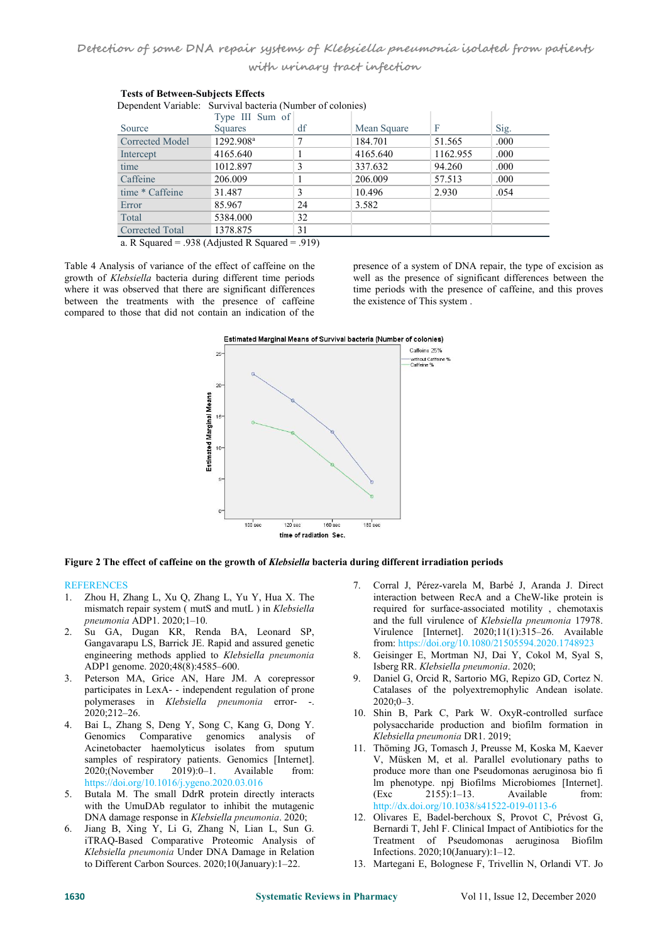| Dependent Variable. But vival bacteria (Tumber of colonies) |                                          |       |             |          |      |
|-------------------------------------------------------------|------------------------------------------|-------|-------------|----------|------|
|                                                             | Type III Sum of                          |       |             |          |      |
| Source                                                      | <b>Squares</b>                           | df    | Mean Square | F        | Sig. |
| Corrected Model                                             | 1292.908 <sup>a</sup>                    |       | 184.701     | 51.565   | .000 |
| Intercept                                                   | 4165.640                                 |       | 4165.640    | 1162.955 | .000 |
| time                                                        | 1012.897                                 | 3     | 337.632     | 94.260   | .000 |
| Caffeine                                                    | 206.009                                  |       | 206.009     | 57.513   | .000 |
| time * Caffeine                                             | 31.487                                   |       | 10.496      | 2.930    | .054 |
| Error                                                       | 85.967                                   | 24    | 3.582       |          |      |
| Total                                                       | 5384.000                                 | 32    |             |          |      |
| <b>Corrected Total</b>                                      | 1378.875                                 | 31    |             |          |      |
| $P_1 \cap \cdots \cap P_n$                                  | $0.20 \times 1$ $\ldots$ $1.72 \times 1$ | 0.101 |             |          |      |

| <b>Tests of Between-Subjects Effects</b> |                                                            |  |  |  |  |  |
|------------------------------------------|------------------------------------------------------------|--|--|--|--|--|
|                                          | Dependent Variable: Survival bacteria (Number of colonies) |  |  |  |  |  |

a. R Squared = .938 (Adjusted R Squared = .919)

Table 4 Analysis of variance of the effect of caffeine on the presence of a system of DNA repair, the type of excision as growth of Klebsiella bacteria during different time periods well as the presence of significant diff growth of *Klebsiella* bacteria during different time periods where it was observed that there are significant differences between the treatments with the presence of caffeine compared to those that did not contain an indication of the Table 4 Analysis of variance of the effect of caffeine on the presence of a system of DNA repair, the type of excision as growth of *Klebsiella* bacteria during different time periods well as the presence of significant di

time periods with the presence of caffeine, and this proves the existence of This system .



# **Figure 2 The effect of caffeine on the growth of** *Klebsiella* **bacteria during different irradiation periods**

# **REFERENCES**

- 1. Zhou H, Zhang L, Xu Q, Zhang L, Yu Y, Hua X. The mismatch repair system ( mutS and mutL ) in *Klebsiella pneumonia* ADP1. 2020;1–10.
- 2. Su GA, Dugan KR, Renda BA, Leonard SP, Gangavarapu LS, Barrick JE. Rapid and assured genetic<br>engineering methods annlied to Klebsiella preumonia engineering methods applied to *Klebsiella pneumonia* ADP1 genome. 2020;48(8):4585–600.
- 3. Peterson MA, Grice AN, Hare JM. A corepressor participates in LexA- - independent regulation of prone polymerases in *Klebsiella pneumonia* error- -. 2020;212–26.
- 4. Bai L, Zhang S, Deng Y, Song C, Kang G, Dong Y. Genomics Comparative genomics analysis of Acinetobacter haemolyticus isolates from sputum samples of respiratory patients. Genomics [Internet].<br>2020;(November 2019):0-1. Available from: 2020;(November 2019):0–1. Available from: https://doi.org/10.1016/j.ygeno.2020.03.016
- 5. Butala M. The small DdrR protein directly interacts with the UmuDAb regulator to inhibit the mutagenic DNA damage response in *Klebsiella pneumonia*. 2020;
- 6. Jiang B, Xing Y, Li G, Zhang N, Lian L, Sun G. iTRAQ-Based Comparative Proteomic Analysis of *Klebsiella pneumonia* Under DNA Damage in Relation to Different Carbon Sources. 2020;10(January):1–22.
- 7. Corral J, Pérez-varela M, Barbé J, Aranda J. Direct interaction between RecA and a CheW-like protein is required for surface-associated motility , chemotaxis and the full virulence of *Klebsiella pneumonia* 17978. Virulence [Internet]. 2020;11(1):315–26. Available from: https://doi.org/10.1080/21505594.2020.1748923
- 8. Geisinger E, Mortman NJ, Dai Y, Cokol M, Syal S, Isberg RR. *Klebsiella pneumonia*. 2020;
- 9. Daniel G, Orcid R, Sartorio MG, Repizo GD, Cortez N. Catalases of the polyextremophylic Andean isolate.  $2020:0-3$ .
- 10. Shin B, Park C, Park W. OxyR-controlled surface polysaccharide production and biofilm formation in *Klebsiella pneumonia* DR1. 2019;
- 11. Thöming JG, Tomasch J, Preusse M, Koska M, Kaever V, Müsken M, et al. Parallel evolutionary paths to produce more than one Pseudomonas aeruginosa bio fi lm phenotype. npj Biofilms Microbiomes [Internet].  $2155$ :1–13. Available from: http://dx.doi.org/10.1038/s41522-019-0113-6
- 12. Olivares E, Badel-berchoux S, Provot C, Prévost G, Bernardi T, Jehl F. Clinical Impact of Antibiotics for the Treatment of Pseudomonas aeruginosa Biofilm Infections. 2020;10(January):1–12.
- 13. Martegani E, Bolognese F, Trivellin N, Orlandi VT. Jo